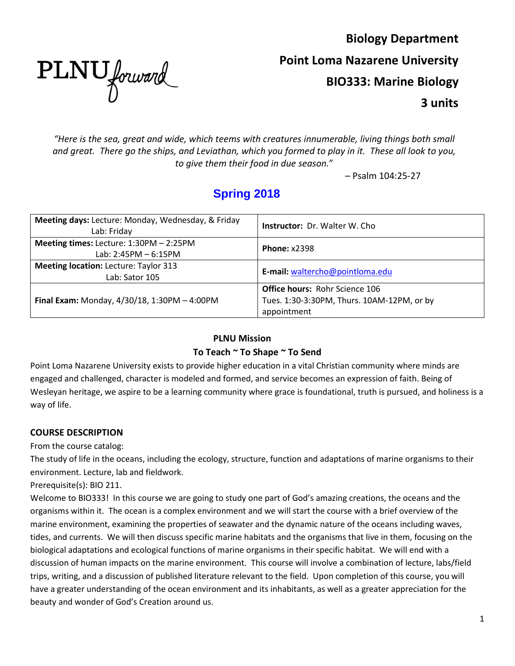PLNU forward

**Biology Department Point Loma Nazarene University BIO333: Marine Biology 3 units**

*"Here is the sea, great and wide, which teems with creatures innumerable, living things both small and great. There go the ships, and Leviathan, which you formed to play in it. These all look to you, to give them their food in due season.*"

– Psalm 104:25-27

# **Spring 2018**

| Meeting days: Lecture: Monday, Wednesday, & Friday<br>Lab: Friday | <b>Instructor:</b> Dr. Walter W. Cho.      |  |
|-------------------------------------------------------------------|--------------------------------------------|--|
| Meeting times: Lecture: $1:30PM - 2:25PM$                         | <b>Phone: x2398</b>                        |  |
| Lab: 2:45PM - 6:15PM                                              |                                            |  |
| <b>Meeting location: Lecture: Taylor 313</b>                      | E-mail: waltercho@pointloma.edu            |  |
| Lab: Sator 105                                                    |                                            |  |
|                                                                   | <b>Office hours: Rohr Science 106</b>      |  |
| Final Exam: Monday, $4/30/18$ , 1:30PM - 4:00PM                   | Tues. 1:30-3:30PM, Thurs. 10AM-12PM, or by |  |
|                                                                   | appointment                                |  |

#### **PLNU Mission**

#### **To Teach ~ To Shape ~ To Send**

Point Loma Nazarene University exists to provide higher education in a vital Christian community where minds are engaged and challenged, character is modeled and formed, and service becomes an expression of faith. Being of Wesleyan heritage, we aspire to be a learning community where grace is foundational, truth is pursued, and holiness is a way of life.

# **COURSE DESCRIPTION**

From the course catalog:

The study of life in the oceans, including the ecology, structure, function and adaptations of marine organisms to their environment. Lecture, lab and fieldwork.

Prerequisite(s): BIO 211.

Welcome to BIO333! In this course we are going to study one part of God's amazing creations, the oceans and the organisms within it. The ocean is a complex environment and we will start the course with a brief overview of the marine environment, examining the properties of seawater and the dynamic nature of the oceans including waves, tides, and currents. We will then discuss specific marine habitats and the organisms that live in them, focusing on the biological adaptations and ecological functions of marine organisms in their specific habitat. We will end with a discussion of human impacts on the marine environment. This course will involve a combination of lecture, labs/field trips, writing, and a discussion of published literature relevant to the field. Upon completion of this course, you will have a greater understanding of the ocean environment and its inhabitants, as well as a greater appreciation for the beauty and wonder of God's Creation around us.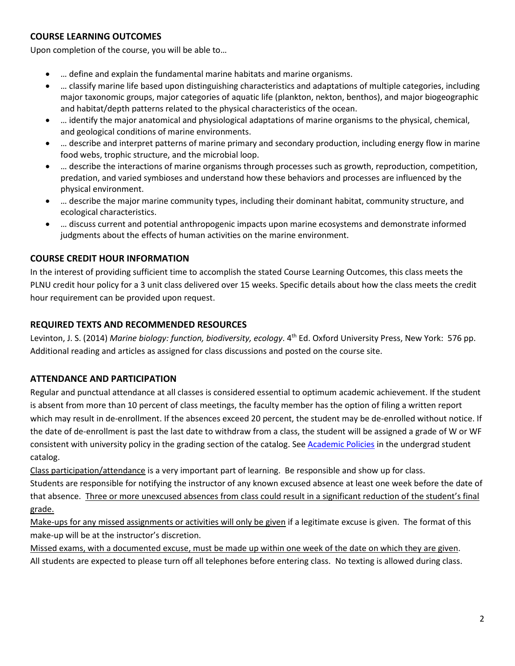# **COURSE LEARNING OUTCOMES**

Upon completion of the course, you will be able to…

- ... define and explain the fundamental marine habitats and marine organisms.
- … classify marine life based upon distinguishing characteristics and adaptations of multiple categories, including major taxonomic groups, major categories of aquatic life (plankton, nekton, benthos), and major biogeographic and habitat/depth patterns related to the physical characteristics of the ocean.
- … identify the major anatomical and physiological adaptations of marine organisms to the physical, chemical, and geological conditions of marine environments.
- … describe and interpret patterns of marine primary and secondary production, including energy flow in marine food webs, trophic structure, and the microbial loop.
- … describe the interactions of marine organisms through processes such as growth, reproduction, competition, predation, and varied symbioses and understand how these behaviors and processes are influenced by the physical environment.
- … describe the major marine community types, including their dominant habitat, community structure, and ecological characteristics.
- … discuss current and potential anthropogenic impacts upon marine ecosystems and demonstrate informed judgments about the effects of human activities on the marine environment.

# **COURSE CREDIT HOUR INFORMATION**

In the interest of providing sufficient time to accomplish the stated Course Learning Outcomes, this class meets the PLNU credit hour policy for a 3 unit class delivered over 15 weeks. Specific details about how the class meets the credit hour requirement can be provided upon request.

#### **REQUIRED TEXTS AND RECOMMENDED RESOURCES**

Levinton, J. S. (2014) *Marine biology: function, biodiversity, ecology*. 4th Ed. Oxford University Press, New York: 576 pp. Additional reading and articles as assigned for class discussions and posted on the course site.

# **ATTENDANCE AND PARTICIPATION**

Regular and punctual attendance at all classes is considered essential to optimum academic achievement. If the student is absent from more than 10 percent of class meetings, the faculty member has the option of filing a written report which may result in de-enrollment. If the absences exceed 20 percent, the student may be de-enrolled without notice. If the date of de-enrollment is past the last date to withdraw from a class, the student will be assigned a grade of W or WF consistent with university policy in the grading section of the catalog. See [Academic Policies](http://www.pointloma.edu/experience/academics/catalogs/undergraduate-catalog/point-loma-education/academic-policies) in the undergrad student catalog.

Class participation/attendance is a very important part of learning. Be responsible and show up for class. Students are responsible for notifying the instructor of any known excused absence at least one week before the date of that absence. Three or more unexcused absences from class could result in a significant reduction of the student's final grade.

Make-ups for any missed assignments or activities will only be given if a legitimate excuse is given. The format of this make-up will be at the instructor's discretion.

Missed exams, with a documented excuse, must be made up within one week of the date on which they are given. All students are expected to please turn off all telephones before entering class.No texting is allowed during class.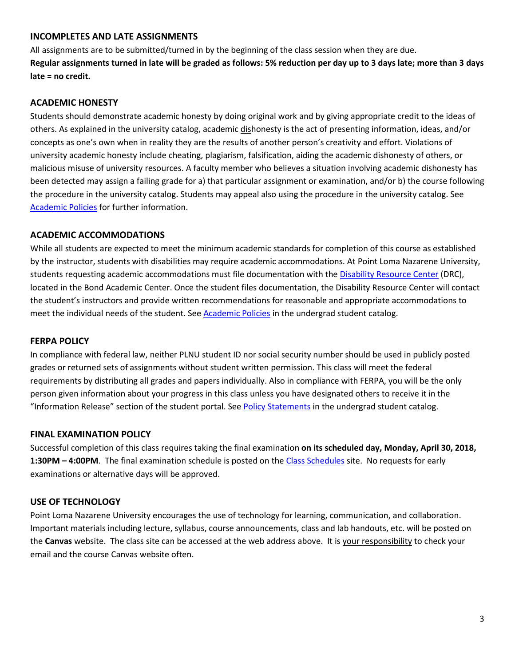#### **INCOMPLETES AND LATE ASSIGNMENTS**

All assignments are to be submitted/turned in by the beginning of the class session when they are due. **Regular assignments turned in late will be graded as follows: 5% reduction per day up to 3 days late; more than 3 days late = no credit.**

#### **ACADEMIC HONESTY**

Students should demonstrate academic honesty by doing original work and by giving appropriate credit to the ideas of others. As explained in the university catalog, academic dishonesty is the act of presenting information, ideas, and/or concepts as one's own when in reality they are the results of another person's creativity and effort. Violations of university academic honesty include cheating, plagiarism, falsification, aiding the academic dishonesty of others, or malicious misuse of university resources. A faculty member who believes a situation involving academic dishonesty has been detected may assign a failing grade for a) that particular assignment or examination, and/or b) the course following the procedure in the university catalog. Students may appeal also using the procedure in the university catalog. See **[Academic Policies](http://www.pointloma.edu/experience/academics/catalogs/undergraduate-catalog/point-loma-education/academic-policies) for further information.** 

#### **ACADEMIC ACCOMMODATIONS**

While all students are expected to meet the minimum academic standards for completion of this course as established by the instructor, students with disabilities may require academic accommodations. At Point Loma Nazarene University, students requesting academic accommodations must file documentation with the [Disability Resource Center](http://www.pointloma.edu/experience/offices/administrative-offices/academic-advising-office/disability-resource-center) (DRC), located in the Bond Academic Center. Once the student files documentation, the Disability Resource Center will contact the student's instructors and provide written recommendations for reasonable and appropriate accommodations to meet the individual needs of the student. See [Academic Policies](http://www.pointloma.edu/experience/academics/catalogs/undergraduate-catalog/point-loma-education/academic-policies) in the undergrad student catalog.

#### **FERPA POLICY**

In compliance with federal law, neither PLNU student ID nor social security number should be used in publicly posted grades or returned sets of assignments without student written permission. This class will meet the federal requirements by distributing all grades and papers individually. Also in compliance with FERPA, you will be the only person given information about your progress in this class unless you have designated others to receive it in the "Information Release" section of the student portal. Se[e Policy Statements](http://www.pointloma.edu/experience/academics/catalogs/undergraduate-catalog/policy-statements) in the undergrad student catalog.

#### **FINAL EXAMINATION POLICY**

Successful completion of this class requires taking the final examination **on its scheduled day, Monday, April 30, 2018, 1:30PM – 4:00PM**. The final examination schedule is posted on the [Class Schedules](http://www.pointloma.edu/experience/academics/class-schedules) site. No requests for early examinations or alternative days will be approved.

#### **USE OF TECHNOLOGY**

Point Loma Nazarene University encourages the use of technology for learning, communication, and collaboration. Important materials including lecture, syllabus, course announcements, class and lab handouts, etc. will be posted on the **Canvas** website. The class site can be accessed at the web address above. It is your responsibility to check your email and the course Canvas website often.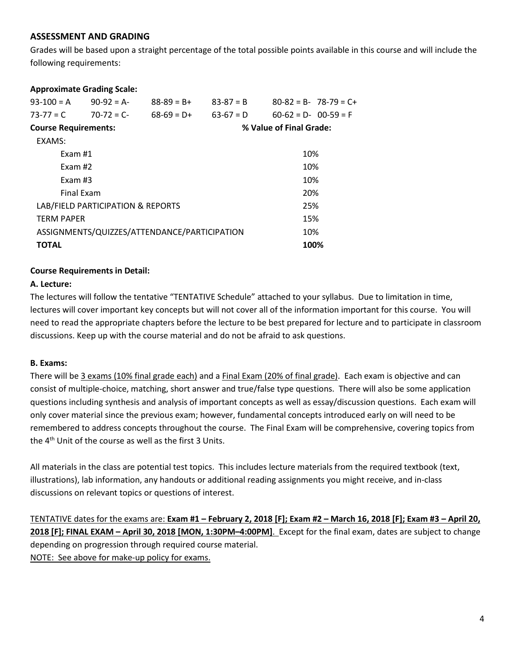#### **ASSESSMENT AND GRADING**

Grades will be based upon a straight percentage of the total possible points available in this course and will include the following requirements:

#### **Approximate Grading Scale:**

| $93-100 = A$                      | $90-92 = A$ | $88-89 = B+$                                 | $83-87 = B$ | $80-82 = B - 78-79 = C +$ |  |  |
|-----------------------------------|-------------|----------------------------------------------|-------------|---------------------------|--|--|
| $73 - 77 = C$                     | $70-72 = C$ | $68-69 = D+$                                 | $63-67 = D$ | $60-62 = D - 00-59 = F$   |  |  |
| <b>Course Requirements:</b>       |             |                                              |             | % Value of Final Grade:   |  |  |
| EXAMS:                            |             |                                              |             |                           |  |  |
| Fxam #1                           |             |                                              |             | 10%                       |  |  |
| Exam $#2$                         |             |                                              |             | 10%                       |  |  |
| Exam $#3$                         |             |                                              |             | 10%                       |  |  |
| <b>Final Exam</b>                 |             |                                              |             | 20%                       |  |  |
| LAB/FIELD PARTICIPATION & REPORTS |             |                                              |             | 25%                       |  |  |
| <b>TFRM PAPFR</b>                 |             |                                              |             | 15%                       |  |  |
|                                   |             | ASSIGNMENTS/QUIZZES/ATTENDANCE/PARTICIPATION |             | 10%                       |  |  |
| <b>TOTAL</b>                      |             |                                              |             | 100%                      |  |  |

#### **Course Requirements in Detail:**

#### **A. Lecture:**

The lectures will follow the tentative "TENTATIVE Schedule" attached to your syllabus. Due to limitation in time, lectures will cover important key concepts but will not cover all of the information important for this course. You will need to read the appropriate chapters before the lecture to be best prepared for lecture and to participate in classroom discussions. Keep up with the course material and do not be afraid to ask questions.

#### **B. Exams:**

There will be 3 exams (10% final grade each) and a Final Exam (20% of final grade). Each exam is objective and can consist of multiple-choice, matching, short answer and true/false type questions. There will also be some application questions including synthesis and analysis of important concepts as well as essay/discussion questions. Each exam will only cover material since the previous exam; however, fundamental concepts introduced early on will need to be remembered to address concepts throughout the course. The Final Exam will be comprehensive, covering topics from the 4<sup>th</sup> Unit of the course as well as the first 3 Units.

All materials in the class are potential test topics. This includes lecture materials from the required textbook (text, illustrations), lab information, any handouts or additional reading assignments you might receive, and in-class discussions on relevant topics or questions of interest.

TENTATIVE dates for the exams are: **Exam #1 – February 2, 2018 [F]; Exam #2 – March 16, 2018 [F]; Exam #3 – April 20, 2018 [F]; FINAL EXAM – April 30, 2018 [MON, 1:30PM–4:00PM]**. Except for the final exam, dates are subject to change depending on progression through required course material. NOTE: See above for make-up policy for exams.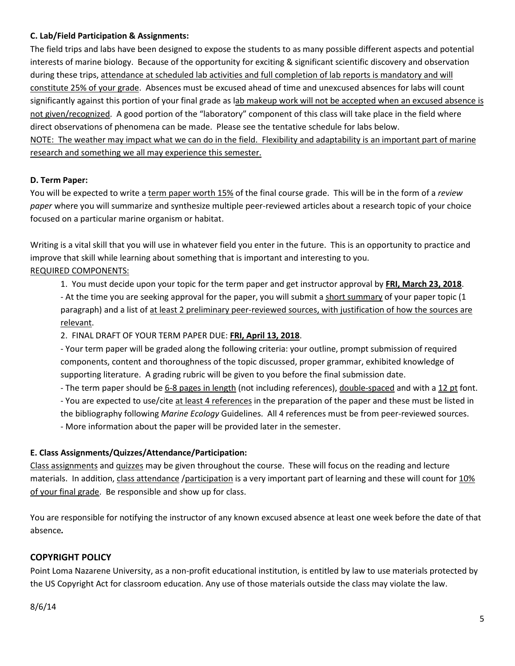#### **C. Lab/Field Participation & Assignments:**

The field trips and labs have been designed to expose the students to as many possible different aspects and potential interests of marine biology. Because of the opportunity for exciting & significant scientific discovery and observation during these trips, attendance at scheduled lab activities and full completion of lab reports is mandatory and will constitute 25% of your grade. Absences must be excused ahead of time and unexcused absences for labs will count significantly against this portion of your final grade as lab makeup work will not be accepted when an excused absence is not given/recognized. A good portion of the "laboratory" component of this class will take place in the field where direct observations of phenomena can be made. Please see the tentative schedule for labs below. NOTE: The weather may impact what we can do in the field. Flexibility and adaptability is an important part of marine research and something we all may experience this semester.

#### **D. Term Paper:**

You will be expected to write a term paper worth 15% of the final course grade. This will be in the form of a *review paper* where you will summarize and synthesize multiple peer-reviewed articles about a research topic of your choice focused on a particular marine organism or habitat.

Writing is a vital skill that you will use in whatever field you enter in the future. This is an opportunity to practice and improve that skill while learning about something that is important and interesting to you. REQUIRED COMPONENTS:

1. You must decide upon your topic for the term paper and get instructor approval by **FRI, March 23, 2018**. - At the time you are seeking approval for the paper, you will submit a short summary of your paper topic (1 paragraph) and a list of at least 2 preliminary peer-reviewed sources, with justification of how the sources are relevant.

2. FINAL DRAFT OF YOUR TERM PAPER DUE: **FRI, April 13, 2018**.

- Your term paper will be graded along the following criteria: your outline, prompt submission of required components, content and thoroughness of the topic discussed, proper grammar, exhibited knowledge of supporting literature. A grading rubric will be given to you before the final submission date.

- The term paper should be 6-8 pages in length (not including references), double-spaced and with a 12 pt font.

- You are expected to use/cite at least 4 references in the preparation of the paper and these must be listed in the bibliography following *Marine Ecology* Guidelines. All 4 references must be from peer-reviewed sources.

- More information about the paper will be provided later in the semester.

#### **E. Class Assignments/Quizzes/Attendance/Participation:**

Class assignments and quizzes may be given throughout the course. These will focus on the reading and lecture materials. In addition, class attendance /participation is a very important part of learning and these will count for 10% of your final grade. Be responsible and show up for class.

You are responsible for notifying the instructor of any known excused absence at least one week before the date of that absence*.*

# **COPYRIGHT POLICY**

Point Loma Nazarene University, as a non-profit educational institution, is entitled by law to use materials protected by the US Copyright Act for classroom education. Any use of those materials outside the class may violate the law.